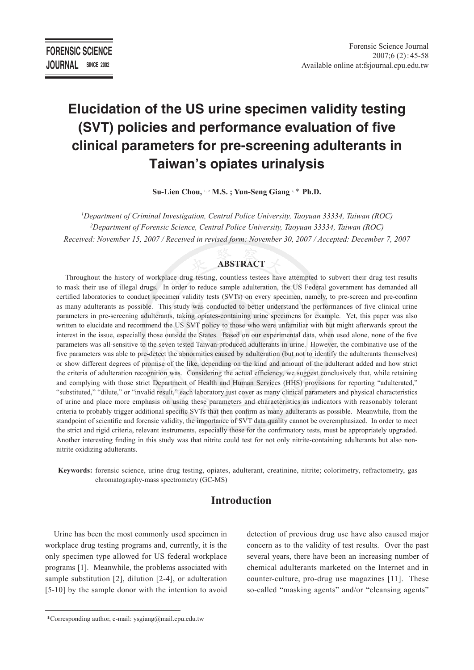# **Elucidation of the US urine specimen validity testing (SVT) policies and performance evaluation of five clinical parameters for pre-screening adulterants in Taiwan's opiates urinalysis**

Su-Lien Chou, <sup>1,2</sup> M.S.; Yun-Seng Giang<sup>2,\*</sup> Ph.D.

*1Department of Criminal Investigation, Central Police University, Taoyuan 33334, Taiwan (ROC) 2Department of Forensic Science, Central Police University, Taoyuan 33334, Taiwan (ROC) Received: November 15, 2007 / Received in revised form: November 30, 2007 / Accepted: December 7, 2007*

# **ABSTRACT**

Throughout the history of workplace drug testing, countless testees have attempted to subvert their drug test results to mask their use of illegal drugs. In order to reduce sample adulteration, the US Federal government has demanded all certified laboratories to conduct specimen validity tests (SVTs) on every specimen, namely, to pre-screen and pre-confirm as many adulterants as possible. This study was conducted to better understand the performances of five clinical urine parameters in pre-screening adulterants, taking opiates-containing urine specimens for example. Yet, this paper was also written to elucidate and recommend the US SVT policy to those who were unfamiliar with but might afterwards sprout the interest in the issue, especially those outside the States. Based on our experimental data, when used alone, none of the five parameters was all-sensitive to the seven tested Taiwan-produced adulterants in urine. However, the combinative use of the five parameters was able to pre-detect the abnormities caused by adulteration (but not to identify the adulterants themselves) or show different degrees of promise of the like, depending on the kind and amount of the adulterant added and how strict the criteria of adulteration recognition was. Considering the actual efficiency, we suggest conclusively that, while retaining and complying with those strict Department of Health and Human Services (HHS) provisions for reporting "adulterated," "substituted," "dilute," or "invalid result," each laboratory just cover as many clinical parameters and physical characteristics of urine and place more emphasis on using these parameters and characteristics as indicators with reasonably tolerant criteria to probably trigger additional specific SVTs that then confirm as many adulterants as possible. Meanwhile, from the standpoint of scientific and forensic validity, the importance of SVT data quality cannot be overemphasized. In order to meet the strict and rigid criteria, relevant instruments, especially those for the confirmatory tests, must be appropriately upgraded. Another interesting finding in this study was that nitrite could test for not only nitrite-containing adulterants but also nonnitrite oxidizing adulterants.

**Keywords:** forensic science, urine drug testing, opiates, adulterant, creatinine, nitrite; colorimetry, refractometry, gas chromatography-mass spectrometry (GC-MS)

# **Introduction**

Urine has been the most commonly used specimen in workplace drug testing programs and, currently, it is the only specimen type allowed for US federal workplace programs [1]. Meanwhile, the problems associated with sample substitution [2], dilution [2-4], or adulteration [5-10] by the sample donor with the intention to avoid detection of previous drug use have also caused major concern as to the validity of test results. Over the past several years, there have been an increasing number of chemical adulterants marketed on the Internet and in counter-culture, pro-drug use magazines [11]. These so-called "masking agents" and/or "cleansing agents"

 <sup>\*</sup>Corresponding author, e-mail: ysgiang@mail.cpu.edu.tw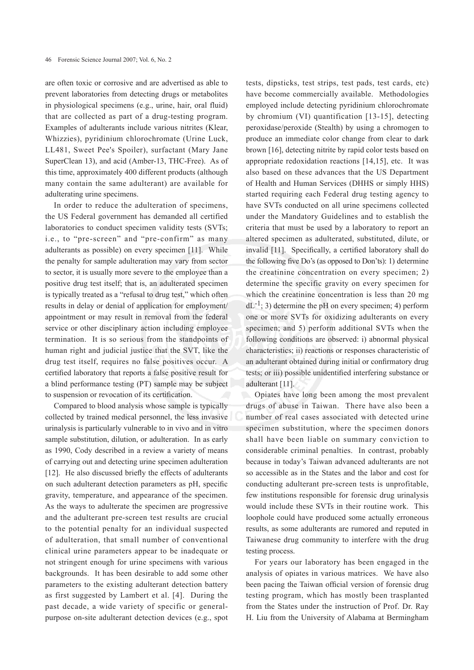are often toxic or corrosive and are advertised as able to prevent laboratories from detecting drugs or metabolites in physiological specimens (e.g., urine, hair, oral fluid) that are collected as part of a drug-testing program. Examples of adulterants include various nitrites (Klear, Whizzies), pyridinium chlorochromate (Urine Luck, LL481, Sweet Pee's Spoiler), surfactant (Mary Jane SuperClean 13), and acid (Amber-13, THC-Free). As of this time, approximately 400 different products (although many contain the same adulterant) are available for adulterating urine specimens.

In order to reduce the adulteration of specimens, the US Federal government has demanded all certified laboratories to conduct specimen validity tests (SVTs; i.e., to "pre-screen" and "pre-confirm" as many adulterants as possible) on every specimen [11]. While the penalty for sample adulteration may vary from sector to sector, it is usually more severe to the employee than a positive drug test itself; that is, an adulterated specimen is typically treated as a "refusal to drug test," which often results in delay or denial of application for employment/ appointment or may result in removal from the federal service or other disciplinary action including employee termination. It is so serious from the standpoints of human right and judicial justice that the SVT, like the drug test itself, requires no false positives occur. A certified laboratory that reports a false positive result for a blind performance testing (PT) sample may be subject to suspension or revocation of its certification.

Compared to blood analysis whose sample is typically collected by trained medical personnel, the less invasive urinalysis is particularly vulnerable to in vivo and in vitro sample substitution, dilution, or adulteration. In as early as 1990, Cody described in a review a variety of means of carrying out and detecting urine specimen adulteration [12]. He also discussed briefly the effects of adulterants on such adulterant detection parameters as pH, specific gravity, temperature, and appearance of the specimen. As the ways to adulterate the specimen are progressive and the adulterant pre-screen test results are crucial to the potential penalty for an individual suspected of adulteration, that small number of conventional clinical urine parameters appear to be inadequate or not stringent enough for urine specimens with various backgrounds. It has been desirable to add some other parameters to the existing adulterant detection battery as first suggested by Lambert et al. [4]. During the past decade, a wide variety of specific or generalpurpose on-site adulterant detection devices (e.g., spot

tests, dipsticks, test strips, test pads, test cards, etc) have become commercially available. Methodologies employed include detecting pyridinium chlorochromate by chromium (VI) quantification [13-15], detecting peroxidase/peroxide (Stealth) by using a chromogen to produce an immediate color change from clear to dark brown [16], detecting nitrite by rapid color tests based on appropriate redoxidation reactions [14,15], etc. It was also based on these advances that the US Department of Health and Human Services (DHHS or simply HHS) started requiring each Federal drug testing agency to have SVTs conducted on all urine specimens collected under the Mandatory Guidelines and to establish the criteria that must be used by a laboratory to report an altered specimen as adulterated, substituted, dilute, or invalid [11]. Specifically, a certified laboratory shall do the following five Do's (as opposed to Don'ts): 1) determine the creatinine concentration on every specimen; 2) determine the specific gravity on every specimen for which the creatinine concentration is less than 20 mg  $dL^{-1}$ ; 3) determine the pH on every specimen; 4) perform one or more SVTs for oxidizing adulterants on every specimen; and 5) perform additional SVTs when the following conditions are observed: i) abnormal physical characteristics; ii) reactions or responses characteristic of an adulterant obtained during initial or confirmatory drug tests; or iii) possible unidentified interfering substance or adulterant [11].

Opiates have long been among the most prevalent drugs of abuse in Taiwan. There have also been a number of real cases associated with detected urine specimen substitution, where the specimen donors shall have been liable on summary conviction to considerable criminal penalties. In contrast, probably because in today's Taiwan advanced adulterants are not so accessible as in the States and the labor and cost for conducting adulterant pre-screen tests is unprofitable, few institutions responsible for forensic drug urinalysis would include these SVTs in their routine work. This loophole could have produced some actually erroneous results, as some adulterants are rumored and reputed in Taiwanese drug community to interfere with the drug testing process.

For years our laboratory has been engaged in the analysis of opiates in various matrices. We have also been pacing the Taiwan official version of forensic drug testing program, which has mostly been trasplanted from the States under the instruction of Prof. Dr. Ray H. Liu from the University of Alabama at Bermingham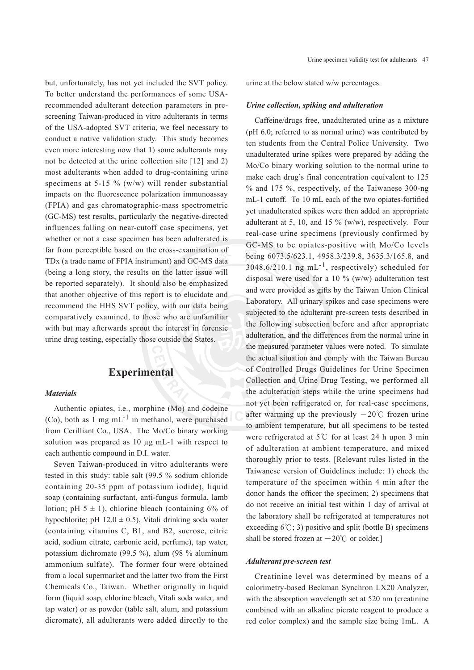but, unfortunately, has not yet included the SVT policy. To better understand the performances of some USArecommended adulterant detection parameters in prescreening Taiwan-produced in vitro adulterants in terms of the USA-adopted SVT criteria, we feel necessary to conduct a native validation study. This study becomes even more interesting now that 1) some adulterants may not be detected at the urine collection site [12] and 2) most adulterants when added to drug-containing urine specimens at  $5-15\%$  (w/w) will render substantial impacts on the fluorescence polarization immunoassay (FPIA) and gas chromatographic-mass spectrometric (GC-MS) test results, particularly the negative-directed influences falling on near-cutoff case specimens, yet whether or not a case specimen has been adulterated is far from perceptible based on the cross-examination of TDx (a trade name of FPIA instrument) and GC-MS data (being a long story, the results on the latter issue will be reported separately). It should also be emphasized that another objective of this report is to elucidate and recommend the HHS SVT policy, with our data being comparatively examined, to those who are unfamiliar with but may afterwards sprout the interest in forensic urine drug testing, especially those outside the States.

# **Experimental**

#### *Materials*

Authentic opiates, i.e., morphine (Mo) and codeine (Co), both as 1 mg  $mL^{-1}$  in methanol, were purchased from Cerilliant Co., USA. The Mo/Co binary working solution was prepared as 10 µg mL-1 with respect to each authentic compound in D.I. water.

Seven Taiwan-produced in vitro adulterants were tested in this study: table salt (99.5 % sodium chloride containing 20-35 ppm of potassium iodide), liquid soap (containing surfactant, anti-fungus formula, lamb lotion; pH  $5 \pm 1$ ), chlorine bleach (containing 6% of hypochlorite; pH  $12.0 \pm 0.5$ ), Vitali drinking soda water (containing vitamins C, B1, and B2, sucrose, citric acid, sodium citrate, carbonic acid, perfume), tap water, potassium dichromate (99.5 %), alum (98 % aluminum ammonium sulfate). The former four were obtained from a local supermarket and the latter two from the First Chemicals Co., Taiwan. Whether originally in liquid form (liquid soap, chlorine bleach, Vitali soda water, and tap water) or as powder (table salt, alum, and potassium dicromate), all adulterants were added directly to the

urine at the below stated w/w percentages.

#### *Urine collection, spiking and adulteration*

Caffeine/drugs free, unadulterated urine as a mixture (pH 6.0; referred to as normal urine) was contributed by ten students from the Central Police University. Two unadulterated urine spikes were prepared by adding the Mo/Co binary working solution to the normal urine to make each drug's final concentration equivalent to 125 % and 175 %, respectively, of the Taiwanese 300-ng mL-1 cutoff. To 10 mL each of the two opiates-fortified yet unadulterated spikes were then added an appropriate adulterant at 5, 10, and 15 % (w/w), respectively. Four real-case urine specimens (previously confirmed by GC-MS to be opiates-positive with Mo/Co levels being 6073.5/623.1, 4958.3/239.8, 3635.3/165.8, and  $3048.6/210.1$  ng mL<sup>-1</sup>, respectively) scheduled for disposal were used for a 10 % (w/w) adulteration test and were provided as gifts by the Taiwan Union Clinical Laboratory. All urinary spikes and case specimens were subjected to the adulterant pre-screen tests described in the following subsection before and after appropriate adulteration, and the differences from the normal urine in the measured parameter values were noted. To simulate the actual situation and comply with the Taiwan Bureau of Controlled Drugs Guidelines for Urine Specimen Collection and Urine Drug Testing, we performed all the adulteration steps while the urine specimens had not yet been refrigerated or, for real-case specimens, after warming up the previously  $-20^{\circ}$ C frozen urine to ambient temperature, but all specimens to be tested were refrigerated at 5℃ for at least 24 h upon 3 min of adulteration at ambient temperature, and mixed thoroughly prior to tests. [Relevant rules listed in the Taiwanese version of Guidelines include: 1) check the temperature of the specimen within 4 min after the donor hands the officer the specimen; 2) specimens that do not receive an initial test within 1 day of arrival at the laboratory shall be refrigerated at temperatures not exceeding  $6^{\circ}$ C; 3) positive and split (bottle B) specimens shall be stored frozen at  $-20^{\circ}$ C or colder.]

#### *Adulterant pre-screen test*

Creatinine level was determined by means of a colorimetry-based Beckman Synchron LX20 Analyzer, with the absorption wavelength set at 520 nm (creatinine combined with an alkaline picrate reagent to produce a red color complex) and the sample size being 1mL. A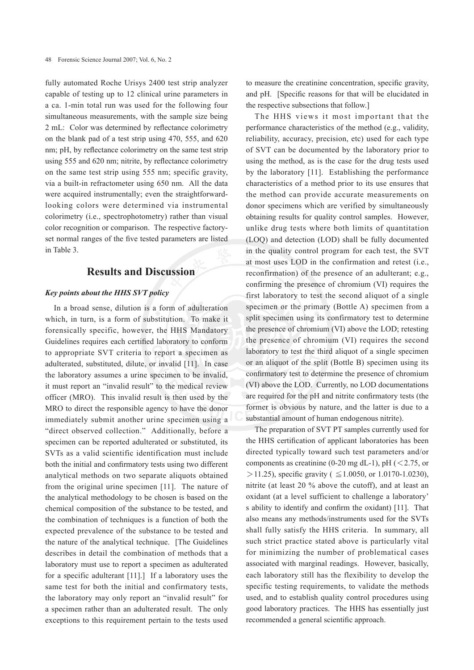fully automated Roche Urisys 2400 test strip analyzer capable of testing up to 12 clinical urine parameters in a ca. 1-min total run was used for the following four simultaneous measurements, with the sample size being 2 mL: Color was determined by reflectance colorimetry on the blank pad of a test strip using 470, 555, and 620 nm; pH, by reflectance colorimetry on the same test strip using 555 and 620 nm; nitrite, by reflectance colorimetry on the same test strip using 555 nm; specific gravity, via a built-in refractometer using 650 nm. All the data were acquired instrumentally; even the straightforwardlooking colors were determined via instrumental colorimetry (i.e., spectrophotometry) rather than visual color recognition or comparison. The respective factoryset normal ranges of the five tested parameters are listed in Table 3.

# **Results and Discussion**

### *Key points about the HHS SVT policy*

In a broad sense, dilution is a form of adulteration which, in turn, is a form of substitution. To make it forensically specific, however, the HHS Mandatory Guidelines requires each certified laboratory to conform to appropriate SVT criteria to report a specimen as adulterated, substituted, dilute, or invalid [11]. In case the laboratory assumes a urine specimen to be invalid, it must report an "invalid result" to the medical review officer (MRO). This invalid result is then used by the MRO to direct the responsible agency to have the donor immediately submit another urine specimen using a "direct observed collection." Additionally, before a specimen can be reported adulterated or substituted, its SVTs as a valid scientific identification must include both the initial and confirmatory tests using two different analytical methods on two separate aliquots obtained from the original urine specimen [11]. The nature of the analytical methodology to be chosen is based on the chemical composition of the substance to be tested, and the combination of techniques is a function of both the expected prevalence of the substance to be tested and the nature of the analytical technique. [The Guidelines describes in detail the combination of methods that a laboratory must use to report a specimen as adulterated for a specific adulterant [11].] If a laboratory uses the same test for both the initial and confirmatory tests, the laboratory may only report an "invalid result" for a specimen rather than an adulterated result. The only exceptions to this requirement pertain to the tests used

to measure the creatinine concentration, specific gravity, and pH. [Specific reasons for that will be elucidated in the respective subsections that follow.]

The HHS views it most important that the performance characteristics of the method (e.g., validity, reliability, accuracy, precision, etc) used for each type of SVT can be documented by the laboratory prior to using the method, as is the case for the drug tests used by the laboratory [11]. Establishing the performance characteristics of a method prior to its use ensures that the method can provide accurate measurements on donor specimens which are verified by simultaneously obtaining results for quality control samples. However, unlike drug tests where both limits of quantitation (LOQ) and detection (LOD) shall be fully documented in the quality control program for each test, the SVT at most uses LOD in the confirmation and retest (i.e., reconfirmation) of the presence of an adulterant; e.g., confirming the presence of chromium (VI) requires the first laboratory to test the second aliquot of a single specimen or the primary (Bottle A) specimen from a split specimen using its confirmatory test to determine the presence of chromium (VI) above the LOD; retesting the presence of chromium (VI) requires the second laboratory to test the third aliquot of a single specimen or an aliquot of the split (Bottle B) specimen using its confirmatory test to determine the presence of chromium (VI) above the LOD. Currently, no LOD documentations are required for the pH and nitrite confirmatory tests (the former is obvious by nature, and the latter is due to a substantial amount of human endogenous nitrite).

The preparation of SVT PT samples currently used for the HHS certification of applicant laboratories has been directed typically toward such test parameters and/or components as creatinine (0-20 mg dL-1), pH ( $\leq$ 2.75, or >11.25), specific gravity (  $\leq$  1.0050, or 1.0170-1.0230), nitrite (at least 20 % above the cutoff), and at least an oxidant (at a level sufficient to challenge a laboratory' s ability to identify and confirm the oxidant) [11]. That also means any methods/instruments used for the SVTs shall fully satisfy the HHS criteria. In summary, all such strict practice stated above is particularly vital for minimizing the number of problematical cases associated with marginal readings. However, basically, each laboratory still has the flexibility to develop the specific testing requirements, to validate the methods used, and to establish quality control procedures using good laboratory practices. The HHS has essentially just recommended a general scientific approach.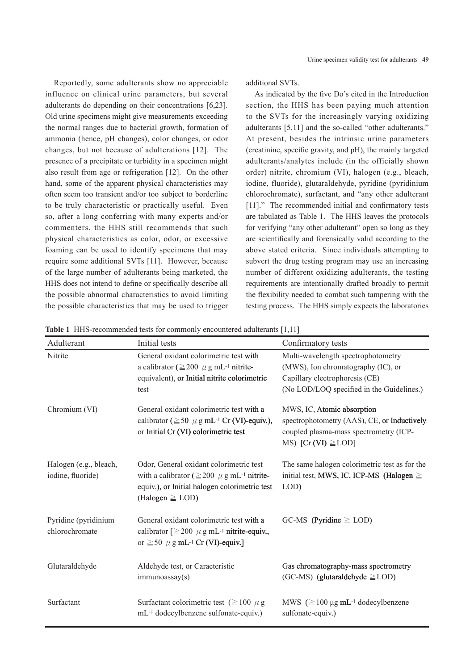Reportedly, some adulterants show no appreciable influence on clinical urine parameters, but several adulterants do depending on their concentrations [6,23]. Old urine specimens might give measurements exceeding the normal ranges due to bacterial growth, formation of ammonia (hence, pH changes), color changes, or odor changes, but not because of adulterations [12]. The presence of a precipitate or turbidity in a specimen might also result from age or refrigeration [12]. On the other hand, some of the apparent physical characteristics may often seem too transient and/or too subject to borderline to be truly characteristic or practically useful. Even so, after a long conferring with many experts and/or commenters, the HHS still recommends that such physical characteristics as color, odor, or excessive foaming can be used to identify specimens that may require some additional SVTs [11]. However, because of the large number of adulterants being marketed, the HHS does not intend to define or specifically describe all the possible abnormal characteristics to avoid limiting the possible characteristics that may be used to trigger

additional SVTs.

As indicated by the five Do's cited in the Introduction section, the HHS has been paying much attention to the SVTs for the increasingly varying oxidizing adulterants [5,11] and the so-called "other adulterants." At present, besides the intrinsic urine parameters (creatinine, specific gravity, and pH), the mainly targeted adulterants/analytes include (in the officially shown order) nitrite, chromium (VI), halogen (e.g., bleach, iodine, fluoride), glutaraldehyde, pyridine (pyridinium chlorochromate), surfactant, and "any other adulterant [11]." The recommended initial and confirmatory tests are tabulated as Table 1. The HHS leaves the protocols for verifying "any other adulterant" open so long as they are scientifically and forensically valid according to the above stated criteria. Since individuals attempting to subvert the drug testing program may use an increasing number of different oxidizing adulterants, the testing requirements are intentionally drafted broadly to permit the flexibility needed to combat such tampering with the testing process. The HHS simply expects the laboratories

**Table 1** HHS-recommended tests for commonly encountered adulterants [1,11]

| Adulterant                                  | Initial tests                                                                                                                                                                        | Confirmatory tests                                                                                                                                      |
|---------------------------------------------|--------------------------------------------------------------------------------------------------------------------------------------------------------------------------------------|---------------------------------------------------------------------------------------------------------------------------------------------------------|
| Nitrite                                     | General oxidant colorimetric test with<br>a calibrator ( $\geq$ 200 $\mu$ g mL <sup>-1</sup> nitrite-<br>equivalent), or Initial nitrite colorimetric<br>test                        | Multi-wavelength spectrophotometry<br>(MWS), Ion chromatography (IC), or<br>Capillary electrophoresis (CE)<br>(No LOD/LOQ specified in the Guidelines.) |
| Chromium (VI)                               | General oxidant colorimetric test with a<br>calibrator ( $\geq$ 50 $\mu$ g mL <sup>-1</sup> Cr (VI)-equiv.),<br>or Initial Cr (VI) colorimetric test                                 | MWS, IC, Atomic absorption<br>spectrophotometry (AAS), CE, or Inductively<br>coupled plasma-mass spectrometry (ICP-<br>MS) [Cr (VI) $\geq$ LOD]         |
| Halogen (e.g., bleach,<br>iodine, fluoride) | Odor, General oxidant colorimetric test<br>with a calibrator ( $\geq$ 200 $\mu$ g mL <sup>-1</sup> nitrite-<br>equiv.), or Initial halogen colorimetric test<br>(Halogen $\geq$ LOD) | The same halogen colorimetric test as for the<br>initial test, MWS, IC, ICP-MS (Halogen $\geq$<br>LOD)                                                  |
| Pyridine (pyridinium<br>chlorochromate      | General oxidant colorimetric test with a<br>calibrator $\geq 200 \mu g$ mL <sup>-1</sup> nitrite-equiv.,<br>or $\geq 50$ $\mu$ g mL <sup>-1</sup> Cr (VI)-equiv.]                    | $GC-MS$ (Pyridine $\geq$ LOD)                                                                                                                           |
| Glutaraldehyde                              | Aldehyde test, or Caracteristic<br>immunoassay(s)                                                                                                                                    | Gas chromatography-mass spectrometry<br>$(GC-MS)$ (glutaraldehyde $\geq$ LOD)                                                                           |
| Surfactant                                  | Surfactant colorimetric test ( $\geq$ 100 $\mu$ g<br>mL-1 dodecylbenzene sulfonate-equiv.)                                                                                           | MWS $(\geq 100 \,\mu\text{g}\,\text{m}L^{-1})$ dodecylbenzene<br>sulfonate-equiv.)                                                                      |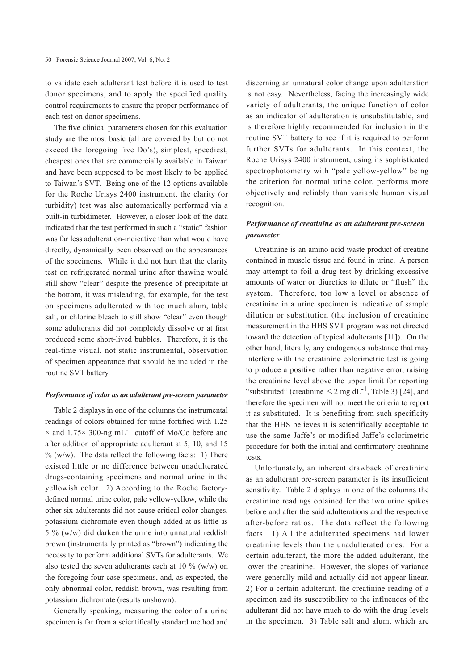to validate each adulterant test before it is used to test donor specimens, and to apply the specified quality control requirements to ensure the proper performance of each test on donor specimens.

The five clinical parameters chosen for this evaluation study are the most basic (all are covered by but do not exceed the foregoing five Do's), simplest, speediest, cheapest ones that are commercially available in Taiwan and have been supposed to be most likely to be applied to Taiwan's SVT. Being one of the 12 options available for the Roche Urisys 2400 instrument, the clarity (or turbidity) test was also automatically performed via a built-in turbidimeter. However, a closer look of the data indicated that the test performed in such a "static" fashion was far less adulteration-indicative than what would have directly, dynamically been observed on the appearances of the specimens. While it did not hurt that the clarity test on refrigerated normal urine after thawing would still show "clear" despite the presence of precipitate at the bottom, it was misleading, for example, for the test on specimens adulterated with too much alum, table salt, or chlorine bleach to still show "clear" even though some adulterants did not completely dissolve or at first produced some short-lived bubbles. Therefore, it is the real-time visual, not static instrumental, observation of specimen appearance that should be included in the routine SVT battery.

#### *Performance of color as an adulterant pre-screen parameter*

Table 2 displays in one of the columns the instrumental readings of colors obtained for urine fortified with 1.25  $\times$  and 1.75 $\times$  300-ng mL<sup>-1</sup> cutoff of Mo/Co before and after addition of appropriate adulterant at 5, 10, and 15  $% (w/w)$ . The data reflect the following facts: 1) There existed little or no difference between unadulterated drugs-containing specimens and normal urine in the yellowish color. 2) According to the Roche factorydefined normal urine color, pale yellow-yellow, while the other six adulterants did not cause critical color changes, potassium dichromate even though added at as little as 5 % (w/w) did darken the urine into unnatural reddish brown (instrumentally printed as "brown") indicating the necessity to perform additional SVTs for adulterants. We also tested the seven adulterants each at 10  $\%$  (w/w) on the foregoing four case specimens, and, as expected, the only abnormal color, reddish brown, was resulting from potassium dichromate (results unshown).

Generally speaking, measuring the color of a urine specimen is far from a scientifically standard method and

discerning an unnatural color change upon adulteration is not easy. Nevertheless, facing the increasingly wide variety of adulterants, the unique function of color as an indicator of adulteration is unsubstitutable, and is therefore highly recommended for inclusion in the routine SVT battery to see if it is required to perform further SVTs for adulterants. In this context, the Roche Urisys 2400 instrument, using its sophisticated spectrophotometry with "pale yellow-yellow" being the criterion for normal urine color, performs more objectively and reliably than variable human visual recognition.

## *Performance of creatinine as an adulterant pre-screen parameter*

Creatinine is an amino acid waste product of creatine contained in muscle tissue and found in urine. A person may attempt to foil a drug test by drinking excessive amounts of water or diuretics to dilute or "flush" the system. Therefore, too low a level or absence of creatinine in a urine specimen is indicative of sample dilution or substitution (the inclusion of creatinine measurement in the HHS SVT program was not directed toward the detection of typical adulterants [11]). On the other hand, literally, any endogenous substance that may interfere with the creatinine colorimetric test is going to produce a positive rather than negative error, raising the creatinine level above the upper limit for reporting "substituted" (creatinine  $\langle 2 \text{ mg d} L^{-1}$ , Table 3) [24], and therefore the specimen will not meet the criteria to report it as substituted. It is benefiting from such specificity that the HHS believes it is scientifically acceptable to use the same Jaffe's or modified Jaffe's colorimetric procedure for both the initial and confirmatory creatinine tests.

Unfortunately, an inherent drawback of creatinine as an adulterant pre-screen parameter is its insufficient sensitivity. Table 2 displays in one of the columns the creatinine readings obtained for the two urine spikes before and after the said adulterations and the respective after-before ratios. The data reflect the following facts: 1) All the adulterated specimens had lower creatinine levels than the unadulterated ones. For a certain adulterant, the more the added adulterant, the lower the creatinine. However, the slopes of variance were generally mild and actually did not appear linear. 2) For a certain adulterant, the creatinine reading of a specimen and its susceptibility to the influences of the adulterant did not have much to do with the drug levels in the specimen. 3) Table salt and alum, which are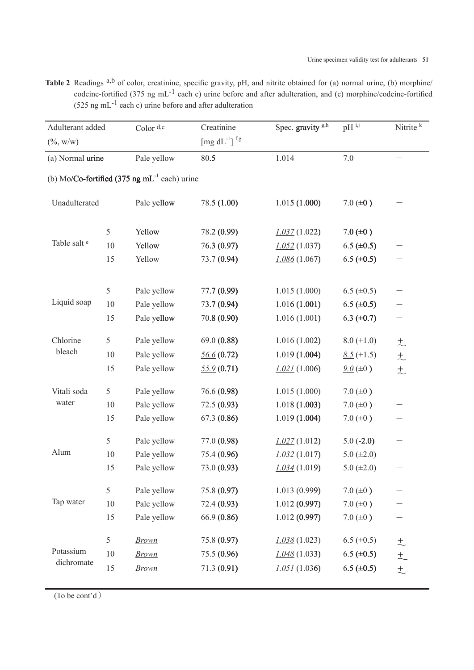Table 2 Readings <sup>a,b</sup> of color, creatinine, specific gravity, pH, and nitrite obtained for (a) normal urine, (b) morphine/ codeine-fortified (375 ng mL<sup>-1</sup> each c) urine before and after adulteration, and (c) morphine/codeine-fortified (525 ng mL<sup>-1</sup> each c) urine before and after adulteration

| Adulterant added   |    | Color d,e                                         | Creatinine                                                   | Spec. gravity <sup>g,h</sup> | $pH^{i,j}$       | Nitrite $k$ |
|--------------------|----|---------------------------------------------------|--------------------------------------------------------------|------------------------------|------------------|-------------|
| $(\% , w/w)$       |    |                                                   | $\left[\text{mg d} \text{L}^{\text{-1}}\right]^{\text{f,g}}$ |                              |                  |             |
| (a) Normal urine   |    | Pale yellow                                       | 80.5                                                         | 1.014                        | 7.0              |             |
|                    |    | (b) Mo/Co-fortified (375 ng $mL^{-1}$ each) urine |                                                              |                              |                  |             |
| Unadulterated      |    | Pale yellow                                       | 78.5 (1.00)                                                  | 1.015(1.000)                 | $7.0 (\pm 0)$    |             |
| Table salt e       | 5  | Yellow                                            | 78.2 (0.99)                                                  | 1.037(1.022)                 | $7.0 (\pm 0)$    |             |
|                    | 10 | Yellow                                            | 76.3 (0.97)                                                  | 1.052(1.037)                 | 6.5 $(\pm 0.5)$  |             |
|                    | 15 | Yellow                                            | 73.7 (0.94)                                                  | 1.086(1.067)                 | 6.5 ( $\pm$ 0.5) |             |
|                    | 5  | Pale yellow                                       | 77.7 (0.99)                                                  | 1.015(1.000)                 | 6.5 $(\pm 0.5)$  |             |
| Liquid soap        | 10 | Pale yellow                                       | 73.7 (0.94)                                                  | 1.016(1.001)                 | 6.5 ( $\pm$ 0.5) |             |
|                    | 15 | Pale yellow                                       | 70.8 (0.90)                                                  | 1.016(1.001)                 | 6.3 $(\pm 0.7)$  |             |
| Chlorine<br>bleach | 5  | Pale yellow                                       | 69.0(0.88)                                                   | 1.016(1.002)                 | $8.0 (+1.0)$     | 土           |
|                    | 10 | Pale yellow                                       | 56.6(0.72)                                                   | 1.019(1.004)                 | $8.5 (+1.5)$     | $\pm$       |
|                    | 15 | Pale yellow                                       | 55.9(0.71)                                                   | 1.021(1.006)                 | $9.0 (\pm 0)$    | $\pm$       |
| Vitali soda        | 5  | Pale yellow                                       | 76.6 (0.98)                                                  | 1.015(1.000)                 | $7.0 (\pm 0)$    |             |
| water              | 10 | Pale yellow                                       | 72.5(0.93)                                                   | 1.018(1.003)                 | $7.0 (\pm 0)$    |             |
|                    | 15 | Pale yellow                                       | 67.3 (0.86)                                                  | 1.019(1.004)                 | $7.0 (\pm 0)$    |             |
|                    | 5  | Pale yellow                                       | 77.0 (0.98)                                                  | 1.027(1.012)                 | $5.0(-2.0)$      |             |
| Alum               | 10 | Pale yellow                                       | 75.4 (0.96)                                                  | 1.032(1.017)                 | $5.0 (\pm 2.0)$  |             |
|                    | 15 | Pale yellow                                       | 73.0 (0.93)                                                  | 1.034(1.019)                 | 5.0 $(\pm 2.0)$  |             |
|                    | 5  | Pale yellow                                       | 75.8 (0.97)                                                  | 1.013(0.999)                 | $7.0 (\pm 0)$    |             |
| Tap water          | 10 | Pale yellow                                       | 72.4 (0.93)                                                  | 1.012(0.997)                 | $7.0 (\pm 0)$    |             |
|                    | 15 | Pale yellow                                       | 66.9 (0.86)                                                  | 1.012(0.997)                 | $7.0 (\pm 0)$    |             |
|                    | 5  | <b>Brown</b>                                      | 75.8 (0.97)                                                  | 1.038(1.023)                 | 6.5 $(\pm 0.5)$  | 土           |
| Potassium          | 10 | <b>Brown</b>                                      | 75.5 (0.96)                                                  | 1.048(1.033)                 | 6.5 ( $\pm$ 0.5) | $+$         |
| dichromate         | 15 | <b>Brown</b>                                      | 71.3 (0.91)                                                  | 1.051(1.036)                 | $6.5 (\pm 0.5)$  | $\pm$       |

(To be cont'd)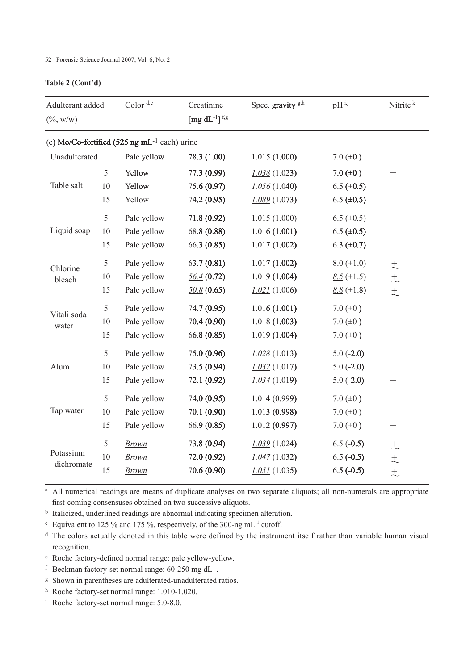# **Table 2 (Cont'd)**

| Adulterant added<br>$(\% , w/w)$                   |        | Color $d,e$  | Creatinine<br>[mg $dL^{-1}$ ] <sup>f,g</sup> | Spec. gravity <sup>g,h</sup> | $pH^{i,j}$        | Nitrite <sup>k</sup>     |  |
|----------------------------------------------------|--------|--------------|----------------------------------------------|------------------------------|-------------------|--------------------------|--|
| (c) Mo/Co-fortified (525 ng mL $^{-1}$ each) urine |        |              |                                              |                              |                   |                          |  |
| Unadulterated                                      |        | Pale yellow  | 78.3 (1.00)                                  | 1.015(1.000)                 | $7.0 (\pm 0)$     |                          |  |
| Table salt                                         | 5      | Yellow       | 77.3 (0.99)                                  | 1.038(1.023)                 | $7.0 (\pm 0)$     |                          |  |
|                                                    | 10     | Yellow       | 75.6 (0.97)                                  | 1.056(1.040)                 | $6.5 (\pm 0.5)$   |                          |  |
|                                                    | 15     | Yellow       | 74.2 (0.95)                                  | 1.089(1.073)                 | $6.5 \ (\pm 0.5)$ |                          |  |
| Liquid soap                                        | 5      | Pale yellow  | 71.8 (0.92)                                  | 1.015(1.000)                 | 6.5 $(\pm 0.5)$   |                          |  |
|                                                    | 10     | Pale yellow  | 68.8 (0.88)                                  | 1.016(1.001)                 | $6.5 (\pm 0.5)$   |                          |  |
|                                                    | 15     | Pale yellow  | 66.3 (0.85)                                  | 1.017(1.002)                 | 6.3 $(\pm 0.7)$   |                          |  |
| Chlorine<br>bleach                                 | 5      | Pale yellow  | 63.7(0.81)                                   | 1.017(1.002)                 | $8.0 (+1.0)$      | $\pm$                    |  |
|                                                    | 10     | Pale yellow  | 56.4(0.72)                                   | 1.019(1.004)                 | $8.5 (+1.5)$      | $\pm$                    |  |
|                                                    | 15     | Pale yellow  | 50.8(0.65)                                   | 1.021(1.006)                 | $8.8 (+1.8)$      | $\pm$                    |  |
|                                                    | 5      | Pale yellow  | 74.7 (0.95)                                  | 1.016(1.001)                 | $7.0 (\pm 0)$     |                          |  |
| Vitali soda<br>water                               | $10\,$ | Pale yellow  | 70.4 (0.90)                                  | 1.018(1.003)                 | $7.0 (\pm 0)$     |                          |  |
|                                                    | 15     | Pale yellow  | 66.8 (0.85)                                  | 1.019(1.004)                 | 7.0 $(\pm 0)$     |                          |  |
|                                                    | 5      | Pale yellow  | 75.0 (0.96)                                  | 1.028(1.013)                 | $5.0(-2.0)$       |                          |  |
| Alum                                               | $10\,$ | Pale yellow  | 73.5 (0.94)                                  | 1.032(1.017)                 | $5.0(-2.0)$       |                          |  |
|                                                    | 15     | Pale yellow  | 72.1 (0.92)                                  | 1.034(1.019)                 | $5.0(-2.0)$       |                          |  |
| Tap water                                          | 5      | Pale yellow  | 74.0 (0.95)                                  | 1.014(0.999)                 | $7.0 (\pm 0)$     |                          |  |
|                                                    | 10     | Pale yellow  | 70.1 (0.90)                                  | 1.013 (0.998)                | $7.0 (\pm 0)$     |                          |  |
|                                                    | 15     | Pale yellow  | 66.9 (0.85)                                  | 1.012(0.997)                 | $7.0 (\pm 0)$     | $\overline{\phantom{0}}$ |  |
|                                                    | 5      | <b>Brown</b> | 73.8 (0.94)                                  | 1.039(1.024)                 | $6.5(-0.5)$       | 土                        |  |
| Potassium<br>dichromate                            | 10     | <b>Brown</b> | 72.0 (0.92)                                  | 1.047(1.032)                 | $6.5(-0.5)$       | $\pm$                    |  |
|                                                    | 15     | <b>Brown</b> | 70.6 (0.90)                                  | 1.051(1.035)                 | $6.5(-0.5)$       | $\pm$                    |  |

<sup>a</sup> All numerical readings are means of duplicate analyses on two separate aliquots; all non-numerals are appropriate first-coming consensuses obtained on two successive aliquots.

<sup>b</sup> Italicized, underlined readings are abnormal indicating specimen alteration.

 $c$  Equivalent to 125 % and 175 %, respectively, of the 300-ng mL<sup>-1</sup> cutoff.

<sup>d</sup> The colors actually denoted in this table were defined by the instrument itself rather than variable human visual recognition.

- <sup>e</sup> Roche factory-defined normal range: pale yellow-yellow.
- f Beckman factory-set normal range:  $60-250$  mg dL<sup>-1</sup>.
- <sup>g</sup> Shown in parentheses are adulterated-unadulterated ratios.
- <sup>h</sup> Roche factory-set normal range: 1.010-1.020.
- <sup>i</sup> Roche factory-set normal range: 5.0-8.0.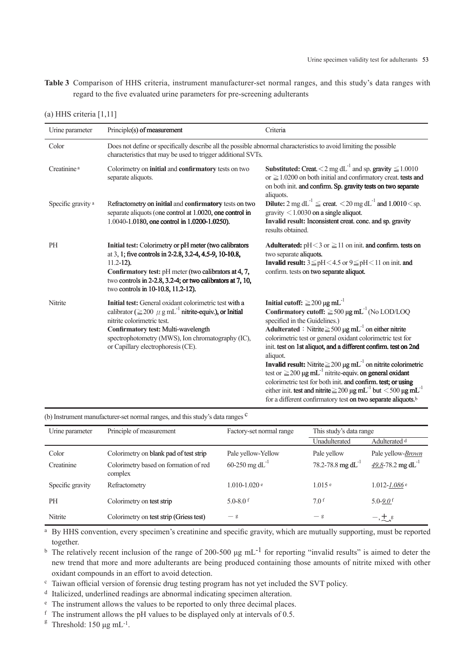**Table 3** Comparison of HHS criteria, instrument manufacturer-set normal ranges, and this study's data ranges with regard to the five evaluated urine parameters for pre-screening adulterants

| Urine parameter         | Principle(s) of measurement                                                                                                                                                                                                                                                                            | Criteria                                                                                                                                                                                                                                                                                                                                                                                                                                                                                                                                                                                                                                                                                                                                                                                |  |  |
|-------------------------|--------------------------------------------------------------------------------------------------------------------------------------------------------------------------------------------------------------------------------------------------------------------------------------------------------|-----------------------------------------------------------------------------------------------------------------------------------------------------------------------------------------------------------------------------------------------------------------------------------------------------------------------------------------------------------------------------------------------------------------------------------------------------------------------------------------------------------------------------------------------------------------------------------------------------------------------------------------------------------------------------------------------------------------------------------------------------------------------------------------|--|--|
| Color                   | Does not define or specifically describe all the possible abnormal characteristics to avoid limiting the possible<br>characteristics that may be used to trigger additional SVTs.                                                                                                                      |                                                                                                                                                                                                                                                                                                                                                                                                                                                                                                                                                                                                                                                                                                                                                                                         |  |  |
| Creatinine <sup>a</sup> | Colorimetry on initial and confirmatory tests on two<br>separate aliquots.                                                                                                                                                                                                                             | <b>Substituted:</b> Creat. $\leq 2$ mg dL <sup>-1</sup> and sp. gravity $\leq 1.0010$<br>or $\geq$ 1.0200 on both initial and confirmatory creat. tests and<br>on both init, and confirm. Sp. gravity tests on two separate<br>aliquots.                                                                                                                                                                                                                                                                                                                                                                                                                                                                                                                                                |  |  |
| Specific gravity a      | Refractometry on initial and confirmatory tests on two<br>separate aliquots (one control at 1.0020, one control in<br>1.0040-1.0180, one control in 1.0200-1.0250).                                                                                                                                    | Dilute: $2 \text{ mg dL}^{-1} \le \text{creat.} < 20 \text{ mg dL}^{-1}$ and $1.0010 \le \text{sp.}$<br>gravity $\leq 1.0030$ on a single aliquot.<br>Invalid result: Inconsistent creat. conc. and sp. gravity<br>results obtained.                                                                                                                                                                                                                                                                                                                                                                                                                                                                                                                                                    |  |  |
| PH                      | Initial test: Colorimetry or pH meter (two calibrators<br>at 3, 1; five controls in 2-2.8, 3.2-4, 4.5-9, 10-10.8,<br>$11.2 - 12$ ).<br>Confirmatory test: pH meter (two calibrators at 4, 7,<br>two controls in 2-2.8, 3.2-4; or two calibrators at 7, 10,<br>two controls in 10-10.8, 11.2-12).       | <b>Adulterated:</b> $pH < 3$ or $\ge 11$ on init. <b>and confirm.</b> tests on<br>two separate aliquots.<br>Invalid result: $3 \leq pH < 4.5$ or $9 \leq pH < 11$ on init. and<br>confirm. tests on two separate aliquot.                                                                                                                                                                                                                                                                                                                                                                                                                                                                                                                                                               |  |  |
| Nitrite                 | Initial test: General oxidant colorimetric test with a<br>calibrator ( $\geq$ 200 $\mu$ g mL <sup>-1</sup> nitrite-equiv.), or Initial<br>nitrite colorimetric test.<br>Confirmatory test: Multi-wavelength<br>spectrophotometry (MWS), Ion chromatography (IC),<br>or Capillary electrophoresis (CE). | Initial cutoff: $\geq$ 200 µg mL <sup>-1</sup><br>Confirmatory cutoff: $\geq$ 500 µg mL <sup>-1</sup> (No LOD/LOQ<br>specified in the Guidelines.)<br>Adulterated : Nitrite $\geq$ 500 µg mL <sup>-1</sup> on either nitrite<br>colorimetric test or general oxidant colorimetric test for<br>init. test on 1st aliquot, and a different confirm. test on 2nd<br>aliquot.<br><b>Invalid result:</b> Nitrite $\geq$ 200 µg mL <sup>-1</sup> on nitrite colorimetric<br>test or $\geq$ 200 µg mL <sup>-1</sup> nitrite-equiv. on general oxidant<br>colorimetric test for both init. and confirm. test; or using<br>either init. test and nitrite $\geq$ 200 µg mL <sup>-1</sup> but <500 µg mL <sup>-1</sup><br>for a different confirmatory test on two separate aliquots. <sup>b</sup> |  |  |

(a) HHS criteria [1,11]

(b) Instrument manufacturer-set normal ranges, and this study's data ranges <sup>c</sup>

| Urine parameter  | Principle of measurement                         | Factory-set normal range   | This study's data range |                                             |
|------------------|--------------------------------------------------|----------------------------|-------------------------|---------------------------------------------|
|                  |                                                  |                            | Unadulterated           | Adulterated d                               |
| Color            | Colorimetry on blank pad of test strip           | Pale yellow-Yellow         | Pale yellow             | Pale yellow- <i>Brown</i>                   |
| Creatinine       | Colorimetry based on formation of red<br>complex | 60-250 mg dL <sup>-1</sup> | 78.2-78.8 mg $dL^{-1}$  | $\frac{49.8}{10}$ -78.2 mg dL <sup>-1</sup> |
| Specific gravity | Refractometry                                    | $1.010 - 1.020$ e          | 1.015e                  | $1.012 - 1.086$ <sup>e</sup>                |
| <b>PH</b>        | Colorimetry on test strip                        | 5.0-8.0 $f$                | 7.0 f                   | 5.0-9.0 $f$                                 |
| Nitrite          | Colorimetry on test strip (Griess test)          | $-g$                       | $-g$                    | $-$ , $\pm$ , $\mathbf{g}$                  |

<sup>a</sup> By HHS convention, every specimen's creatinine and specific gravity, which are mutually supporting, must be reported together.

<sup>b</sup> The relatively recent inclusion of the range of 200-500  $\mu$ g mL<sup>-1</sup> for reporting "invalid results" is aimed to deter the new trend that more and more adulterants are being produced containing those amounts of nitrite mixed with other oxidant compounds in an effort to avoid detection.

<sup>c</sup> Taiwan official version of forensic drug testing program has not yet included the SVT policy.

<sup>d</sup> Italicized, underlined readings are abnormal indicating specimen alteration.

e The instrument allows the values to be reported to only three decimal places.

 $f$  The instrument allows the pH values to be displayed only at intervals of 0.5.

<sup>g</sup> Threshold:  $150 \mu g \text{ mL}^{-1}$ .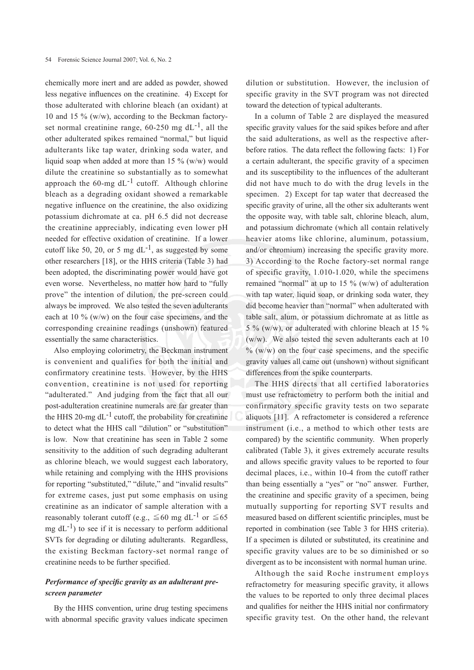chemically more inert and are added as powder, showed less negative influences on the creatinine. 4) Except for those adulterated with chlorine bleach (an oxidant) at 10 and 15 % (w/w), according to the Beckman factoryset normal creatinine range,  $60-250$  mg  $dL^{-1}$ , all the other adulterated spikes remained "normal," but liquid adulterants like tap water, drinking soda water, and liquid soap when added at more than 15 % (w/w) would dilute the creatinine so substantially as to somewhat approach the  $60$ -mg dL<sup>-1</sup> cutoff. Although chlorine bleach as a degrading oxidant showed a remarkable negative influence on the creatinine, the also oxidizing potassium dichromate at ca. pH 6.5 did not decrease the creatinine appreciably, indicating even lower pH needed for effective oxidation of creatinine. If a lower cutoff like 50, 20, or 5 mg  $dL^{-1}$ , as suggested by some other researchers [18], or the HHS criteria (Table 3) had been adopted, the discriminating power would have got even worse. Nevertheless, no matter how hard to "fully prove" the intention of dilution, the pre-screen could always be improved. We also tested the seven adulterants each at 10 % (w/w) on the four case specimens, and the corresponding creainine readings (unshown) featured essentially the same characteristics.

Also employing colorimetry, the Beckman instrument is convenient and qualifies for both the initial and confirmatory creatinine tests. However, by the HHS convention, creatinine is not used for reporting "adulterated." And judging from the fact that all our post-adulteration creatinine numerals are far greater than the HHS 20-mg  $dL^{-1}$  cutoff, the probability for creatinine to detect what the HHS call "dilution" or "substitution" is low. Now that creatinine has seen in Table 2 some sensitivity to the addition of such degrading adulterant as chlorine bleach, we would suggest each laboratory, while retaining and complying with the HHS provisions for reporting "substituted," "dilute," and "invalid results" for extreme cases, just put some emphasis on using creatinine as an indicator of sample alteration with a reasonably tolerant cutoff (e.g.,  $\leq 60$  mg dL<sup>-1</sup> or  $\leq 65$ mg  $dL^{-1}$ ) to see if it is necessary to perform additional SVTs for degrading or diluting adulterants. Regardless, the existing Beckman factory-set normal range of creatinine needs to be further specified.

### *Performance of specific gravity as an adulterant prescreen parameter*

By the HHS convention, urine drug testing specimens with abnormal specific gravity values indicate specimen

dilution or substitution. However, the inclusion of specific gravity in the SVT program was not directed toward the detection of typical adulterants.

In a column of Table 2 are displayed the measured specific gravity values for the said spikes before and after the said adulterations, as well as the respective afterbefore ratios. The data reflect the following facts: 1) For a certain adulterant, the specific gravity of a specimen and its susceptibility to the influences of the adulterant did not have much to do with the drug levels in the specimen. 2) Except for tap water that decreased the specific gravity of urine, all the other six adulterants went the opposite way, with table salt, chlorine bleach, alum, and potassium dichromate (which all contain relatively heavier atoms like chlorine, aluminum, potassium, and/or chromium) increasing the specific gravity more. 3) According to the Roche factory-set normal range of specific gravity, 1.010-1.020, while the specimens remained "normal" at up to 15  $\%$  (w/w) of adulteration with tap water, liquid soap, or drinking soda water, they did become heavier than "normal" when adulterated with table salt, alum, or potassium dichromate at as little as 5 % (w/w), or adulterated with chlorine bleach at 15 % (w/w). We also tested the seven adulterants each at 10  $\%$  (w/w) on the four case specimens, and the specific gravity values all came out (unshown) without significant differences from the spike counterparts.

The HHS directs that all certified laboratories must use refractometry to perform both the initial and confirmatory specific gravity tests on two separate aliquots [11]. A refractometer is considered a reference instrument (i.e., a method to which other tests are compared) by the scientific community. When properly calibrated (Table 3), it gives extremely accurate results and allows specific gravity values to be reported to four decimal places, i.e., within 10-4 from the cutoff rather than being essentially a "yes" or "no" answer. Further, the creatinine and specific gravity of a specimen, being mutually supporting for reporting SVT results and measured based on different scientific principles, must be reported in combination (see Table 3 for HHS criteria). If a specimen is diluted or substituted, its creatinine and specific gravity values are to be so diminished or so divergent as to be inconsistent with normal human urine.

Although the said Roche instrument employs refractometry for measuring specific gravity, it allows the values to be reported to only three decimal places and qualifies for neither the HHS initial nor confirmatory specific gravity test. On the other hand, the relevant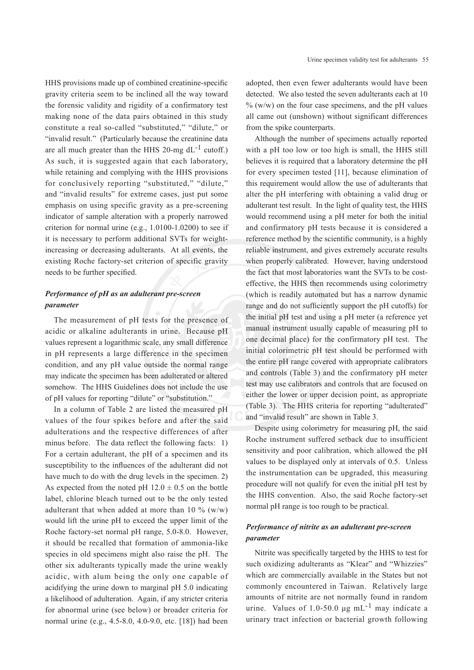HHS provisions made up of combined creatinine-specific gravity criteria seem to be inclined all the way toward the forensic validity and rigidity of a confirmatory test making none of the data pairs obtained in this study constitute a real so-called "substituted," "dilute," or "invalid result." (Particularly because the creatinine data are all much greater than the HHS 20-mg  $dL^{-1}$  cutoff.) As such, it is suggested again that each laboratory, while retaining and complying with the HHS provisions for conclusively reporting "substituted," "dilute," and "invalid results" for extreme cases, just put some emphasis on using specific gravity as a pre-screening indicator of sample alteration with a properly narrowed criterion for normal urine (e.g., 1.0100-1.0200) to see if it is necessary to perform additional SVTs for weightincreasing or decreasing adulterants. At all events, the existing Roche factory-set criterion of specific gravity needs to be further specified.

## *Performance of pH as an adulterant pre-screen parameter*

The measurement of pH tests for the presence of acidic or alkaline adulterants in urine. Because pH values represent a logarithmic scale, any small difference in pH represents a large difference in the specimen condition, and any pH value outside the normal range may indicate the specimen has been adulterated or altered somehow. The HHS Guidelines does not include the use of pH values for reporting "dilute" or "substitution."

In a column of Table 2 are listed the measured pH values of the four spikes before and after the said adulterations and the respective differences of after minus before. The data reflect the following facts: 1) For a certain adulterant, the pH of a specimen and its susceptibility to the influences of the adulterant did not have much to do with the drug levels in the specimen. 2) As expected from the noted pH  $12.0 \pm 0.5$  on the bottle label, chlorine bleach turned out to be the only tested adulterant that when added at more than 10  $\%$  (w/w) would lift the urine pH to exceed the upper limit of the Roche factory-set normal pH range, 5.0-8.0. However, it should be recalled that formation of ammonia-like species in old specimens might also raise the pH. The other six adulterants typically made the urine weakly acidic, with alum being the only one capable of acidifying the urine down to marginal pH 5.0 indicating a likelihood of adulteration. Again, if any stricter criteria for abnormal urine (see below) or broader criteria for normal urine (e.g., 4.5-8.0, 4.0-9.0, etc. [18]) had been

adopted, then even fewer adulterants would have been detected. We also tested the seven adulterants each at 10  $\%$  (w/w) on the four case specimens, and the pH values all came out (unshown) without significant differences from the spike counterparts.

Although the number of specimens actually reported with a pH too low or too high is small, the HHS still believes it is required that a laboratory determine the pH for every specimen tested [11], because elimination of this requirement would allow the use of adulterants that alter the pH interfering with obtaining a valid drug or adulterant test result. In the light of quality test, the HHS would recommend using a pH meter for both the initial and confirmatory pH tests because it is considered a reference method by the scientific community, is a highly reliable instrument, and gives extremely accurate results when properly calibrated. However, having understood the fact that most laboratories want the SVTs to be costeffective, the HHS then recommends using colorimetry (which is readily automated but has a narrow dynamic range and do not sufficiently support the pH cutoffs) for the initial pH test and using a pH meter (a reference yet manual instrument usually capable of measuring pH to one decimal place) for the confirmatory pH test. The initial colorimetric pH test should be performed with the entire pH range covered with appropriate calibrators and controls (Table 3) and the confirmatory pH meter test may use calibrators and controls that are focused on either the lower or upper decision point, as appropriate (Table 3). The HHS criteria for reporting "adulterated" and "invalid result" are shown in Table 3.

Despite using colorimetry for measuring pH, the said Roche instrument suffered setback due to insufficient sensitivity and poor calibration, which allowed the pH values to be displayed only at intervals of 0.5. Unless the instrumentation can be upgraded, this measuring procedure will not qualify for even the initial pH test by the HHS convention. Also, the said Roche factory-set normal pH range is too rough to be practical.

## *Performance of nitrite as an adulterant pre-screen parameter*

Nitrite was specifically targeted by the HHS to test for such oxidizing adulterants as "Klear" and "Whizzies" which are commercially available in the States but not commonly encountered in Taiwan. Relatively large amounts of nitrite are not normally found in random urine. Values of 1.0-50.0  $\mu$ g mL<sup>-1</sup> may indicate a urinary tract infection or bacterial growth following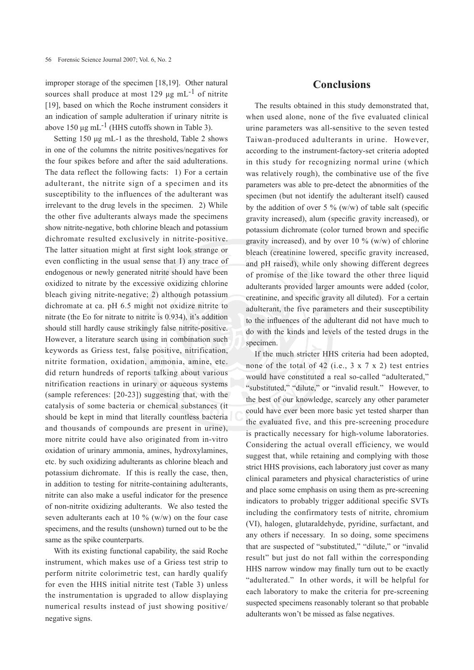improper storage of the specimen [18,19]. Other natural sources shall produce at most 129 μg mL<sup>-1</sup> of nitrite [19], based on which the Roche instrument considers it an indication of sample adulteration if urinary nitrite is above 150  $\mu$ g mL<sup>-1</sup> (HHS cutoffs shown in Table 3).

Setting 150 μg mL-1 as the threshold, Table 2 shows in one of the columns the nitrite positives/negatives for the four spikes before and after the said adulterations. The data reflect the following facts: 1) For a certain adulterant, the nitrite sign of a specimen and its susceptibility to the influences of the adulterant was irrelevant to the drug levels in the specimen. 2) While the other five adulterants always made the specimens show nitrite-negative, both chlorine bleach and potassium dichromate resulted exclusively in nitrite-positive. The latter situation might at first sight look strange or even conflicting in the usual sense that 1) any trace of endogenous or newly generated nitrite should have been oxidized to nitrate by the excessive oxidizing chlorine bleach giving nitrite-negative; 2) although potassium dichromate at ca. pH 6.5 might not oxidize nitrite to nitrate (the Eo for nitrate to nitrite is 0.934), it's addition should still hardly cause strikingly false nitrite-positive. However, a literature search using in combination such keywords as Griess test, false positive, nitrification, nitrite formation, oxidation, ammonia, amine, etc. did return hundreds of reports talking about various nitrification reactions in urinary or aqueous systems (sample references: [20-23]) suggesting that, with the catalysis of some bacteria or chemical substances (it should be kept in mind that literally countless bacteria and thousands of compounds are present in urine), more nitrite could have also originated from in-vitro oxidation of urinary ammonia, amines, hydroxylamines, etc. by such oxidizing adulterants as chlorine bleach and potassium dichromate. If this is really the case, then, in addition to testing for nitrite-containing adulterants, nitrite can also make a useful indicator for the presence of non-nitrite oxidizing adulterants. We also tested the seven adulterants each at 10  $\%$  (w/w) on the four case specimens, and the results (unshown) turned out to be the same as the spike counterparts.

With its existing functional capability, the said Roche instrument, which makes use of a Griess test strip to perform nitrite colorimetric test, can hardly qualify for even the HHS initial nitrite test (Table 3) unless the instrumentation is upgraded to allow displaying numerical results instead of just showing positive/ negative signs.

# **Conclusions**

The results obtained in this study demonstrated that, when used alone, none of the five evaluated clinical urine parameters was all-sensitive to the seven tested Taiwan-produced adulterants in urine. However, according to the instrument-factory-set criteria adopted in this study for recognizing normal urine (which was relatively rough), the combinative use of the five parameters was able to pre-detect the abnormities of the specimen (but not identify the adulterant itself) caused by the addition of over 5 %  $(w/w)$  of table salt (specific gravity increased), alum (specific gravity increased), or potassium dichromate (color turned brown and specific gravity increased), and by over 10  $\%$  (w/w) of chlorine bleach (creatinine lowered, specific gravity increased, and pH raised), while only showing different degrees of promise of the like toward the other three liquid adulterants provided larger amounts were added (color, creatinine, and specific gravity all diluted). For a certain adulterant, the five parameters and their susceptibility to the influences of the adulterant did not have much to do with the kinds and levels of the tested drugs in the specimen.

If the much stricter HHS criteria had been adopted, none of the total of 42 (i.e.,  $3 \times 7 \times 2$ ) test entries would have constituted a real so-called "adulterated," "substituted," "dilute," or "invalid result." However, to the best of our knowledge, scarcely any other parameter could have ever been more basic yet tested sharper than the evaluated five, and this pre-screening procedure is practically necessary for high-volume laboratories. Considering the actual overall efficiency, we would suggest that, while retaining and complying with those strict HHS provisions, each laboratory just cover as many clinical parameters and physical characteristics of urine and place some emphasis on using them as pre-screening indicators to probably trigger additional specific SVTs including the confirmatory tests of nitrite, chromium (VI), halogen, glutaraldehyde, pyridine, surfactant, and any others if necessary. In so doing, some specimens that are suspected of "substituted," "dilute," or "invalid result" but just do not fall within the corresponding HHS narrow window may finally turn out to be exactly "adulterated." In other words, it will be helpful for each laboratory to make the criteria for pre-screening suspected specimens reasonably tolerant so that probable adulterants won't be missed as false negatives.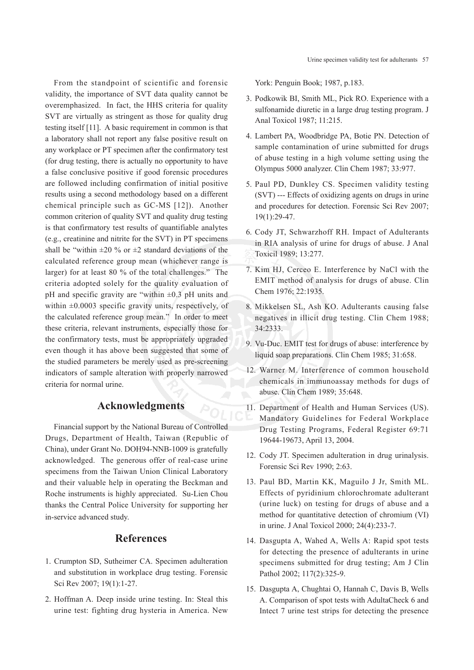From the standpoint of scientific and forensic validity, the importance of SVT data quality cannot be overemphasized. In fact, the HHS criteria for quality SVT are virtually as stringent as those for quality drug testing itself [11]. A basic requirement in common is that a laboratory shall not report any false positive result on any workplace or PT specimen after the confirmatory test (for drug testing, there is actually no opportunity to have a false conclusive positive if good forensic procedures are followed including confirmation of initial positive results using a second methodology based on a different chemical principle such as GC-MS [12]). Another common criterion of quality SVT and quality drug testing is that confirmatory test results of quantifiable analytes (e.g., creatinine and nitrite for the SVT) in PT specimens shall be "within  $\pm 20$  % or  $\pm 2$  standard deviations of the calculated reference group mean (whichever range is larger) for at least 80 % of the total challenges." The criteria adopted solely for the quality evaluation of pH and specific gravity are "within  $\pm 0.3$  pH units and within  $\pm 0.0003$  specific gravity units, respectively, of the calculated reference group mean." In order to meet these criteria, relevant instruments, especially those for the confirmatory tests, must be appropriately upgraded even though it has above been suggested that some of the studied parameters be merely used as pre-screening indicators of sample alteration with properly narrowed criteria for normal urine.

# **Acknowledgments**

Financial support by the National Bureau of Controlled Drugs, Department of Health, Taiwan (Republic of China), under Grant No. DOH94-NNB-1009 is gratefully acknowledged. The generous offer of real-case urine specimens from the Taiwan Union Clinical Laboratory and their valuable help in operating the Beckman and Roche instruments is highly appreciated. Su-Lien Chou thanks the Central Police University for supporting her in-service advanced study.

# **References**

- 1. Crumpton SD, Sutheimer CA. Specimen adulteration and substitution in workplace drug testing. Forensic Sci Rev 2007; 19(1):1-27.
- 2. Hoffman A. Deep inside urine testing. In: Steal this urine test: fighting drug hysteria in America. New

York: Penguin Book; 1987, p.183.

- 3. Podkowik BI, Smith ML, Pick RO. Experience with a sulfonamide diuretic in a large drug testing program. J Anal Toxicol 1987; 11:215.
- 4. Lambert PA, Woodbridge PA, Botie PN. Detection of sample contamination of urine submitted for drugs of abuse testing in a high volume setting using the Olympus 5000 analyzer. Clin Chem 1987; 33:977.
- 5. Paul PD, Dunkley CS. Specimen validity testing (SVT) --- Effects of oxidizing agents on drugs in urine and procedures for detection. Forensic Sci Rev 2007; 19(1):29-47.
- 6. Cody JT, Schwarzhoff RH. Impact of Adulterants in RIA analysis of urine for drugs of abuse. J Anal Toxicil 1989; 13:277.
- 7. Kim HJ, Cerceo E. Interference by NaCl with the EMIT method of analysis for drugs of abuse. Clin Chem 1976; 22:1935.
- 8. Mikkelsen SL, Ash KO. Adulterants causing false negatives in illicit drug testing. Clin Chem 1988; 34:2333.
- 9. Vu-Duc. EMIT test for drugs of abuse: interference by liquid soap preparations. Clin Chem 1985; 31:658.
- 12. Warner M. Interference of common household chemicals in immunoassay methods for dugs of abuse. Clin Chem 1989; 35:648.
- 11. Department of Health and Human Services (US). Mandatory Guidelines for Federal Workplace Drug Testing Programs, Federal Register 69:71 19644-19673, April 13, 2004.
- 12. Cody JT. Specimen adulteration in drug urinalysis. Forensic Sci Rev 1990; 2:63.
- 13. Paul BD, Martin KK, Maguilo J Jr, Smith ML. Effects of pyridinium chlorochromate adulterant (urine luck) on testing for drugs of abuse and a method for quantitative detection of chromium (VI) in urine. J Anal Toxicol 2000; 24(4):233-7.
- 14. Dasgupta A, Wahed A, Wells A: Rapid spot tests for detecting the presence of adulterants in urine specimens submitted for drug testing; Am J Clin Pathol 2002; 117(2):325-9.
- 15. Dasgupta A, Chughtai O, Hannah C, Davis B, Wells A. Comparison of spot tests with AdultaCheck 6 and Intect 7 urine test strips for detecting the presence